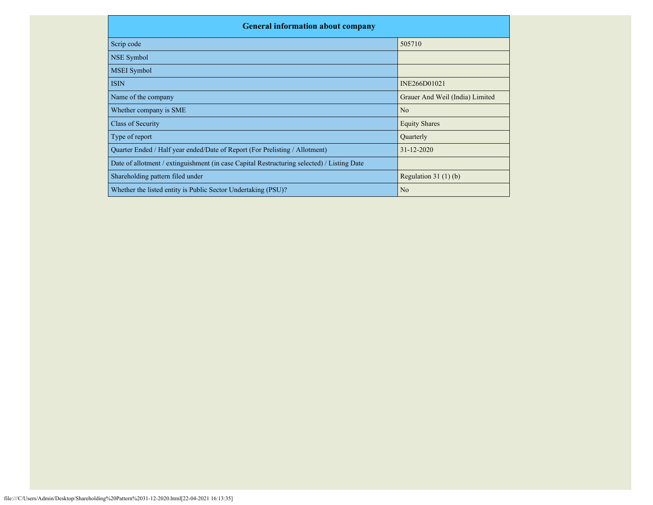| <b>General information about company</b>                                                   |                                 |  |  |  |  |  |  |
|--------------------------------------------------------------------------------------------|---------------------------------|--|--|--|--|--|--|
| Scrip code                                                                                 | 505710                          |  |  |  |  |  |  |
| NSE Symbol                                                                                 |                                 |  |  |  |  |  |  |
| <b>MSEI</b> Symbol                                                                         |                                 |  |  |  |  |  |  |
| <b>ISIN</b>                                                                                | INE266D01021                    |  |  |  |  |  |  |
| Name of the company                                                                        | Grauer And Weil (India) Limited |  |  |  |  |  |  |
| Whether company is SME                                                                     | N <sub>o</sub>                  |  |  |  |  |  |  |
| Class of Security                                                                          | <b>Equity Shares</b>            |  |  |  |  |  |  |
| Type of report                                                                             | Quarterly                       |  |  |  |  |  |  |
| Quarter Ended / Half year ended/Date of Report (For Prelisting / Allotment)                | $31 - 12 - 2020$                |  |  |  |  |  |  |
| Date of allotment / extinguishment (in case Capital Restructuring selected) / Listing Date |                                 |  |  |  |  |  |  |
| Shareholding pattern filed under                                                           | Regulation $31(1)(b)$           |  |  |  |  |  |  |
| Whether the listed entity is Public Sector Undertaking (PSU)?                              | N <sub>o</sub>                  |  |  |  |  |  |  |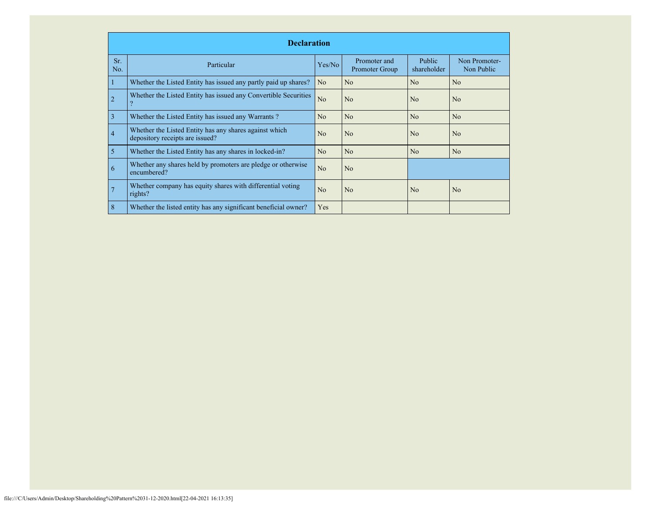|                | <b>Declaration</b>                                                                        |                |                                |                              |                             |  |  |  |  |  |  |
|----------------|-------------------------------------------------------------------------------------------|----------------|--------------------------------|------------------------------|-----------------------------|--|--|--|--|--|--|
| Sr.<br>No.     | Particular                                                                                | Yes/No         | Promoter and<br>Promoter Group | <b>Public</b><br>shareholder | Non Promoter-<br>Non Public |  |  |  |  |  |  |
|                | Whether the Listed Entity has issued any partly paid up shares?                           | N <sub>o</sub> | No                             | No                           | N <sub>o</sub>              |  |  |  |  |  |  |
| $\overline{2}$ | Whether the Listed Entity has issued any Convertible Securities                           | N <sub>o</sub> | N <sub>0</sub>                 | No                           | N <sub>o</sub>              |  |  |  |  |  |  |
| 3              | Whether the Listed Entity has issued any Warrants?                                        | N <sub>o</sub> | N <sub>o</sub>                 | No                           | N <sub>o</sub>              |  |  |  |  |  |  |
| $\overline{4}$ | Whether the Listed Entity has any shares against which<br>depository receipts are issued? | N <sub>0</sub> | N <sub>o</sub>                 | N <sub>0</sub>               | N <sub>o</sub>              |  |  |  |  |  |  |
| 5              | Whether the Listed Entity has any shares in locked-in?                                    | No             | No                             | No                           | N <sub>o</sub>              |  |  |  |  |  |  |
| 6              | Whether any shares held by promoters are pledge or otherwise<br>encumbered?               | N <sub>o</sub> | N <sub>o</sub>                 |                              |                             |  |  |  |  |  |  |
| 7              | Whether company has equity shares with differential voting<br>rights?                     | No             | No                             | N <sub>o</sub>               | N <sub>o</sub>              |  |  |  |  |  |  |
| 8              | Whether the listed entity has any significant beneficial owner?                           | Yes            |                                |                              |                             |  |  |  |  |  |  |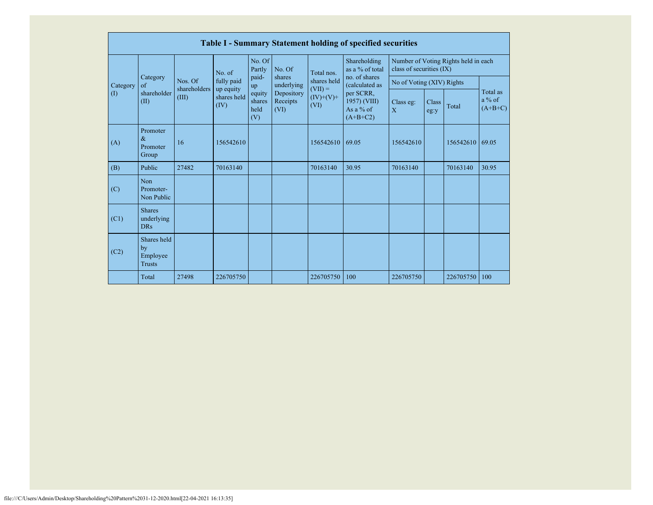|             | <b>Table I - Summary Statement holding of specified securities</b> |                       |                                  |                                                |                                                        |                          |                                                                                           |                           |               |                                      |                                   |
|-------------|--------------------------------------------------------------------|-----------------------|----------------------------------|------------------------------------------------|--------------------------------------------------------|--------------------------|-------------------------------------------------------------------------------------------|---------------------------|---------------|--------------------------------------|-----------------------------------|
|             |                                                                    |                       | No. of                           | No. Of<br>Partly                               | No. Of                                                 | Total nos.               | Shareholding<br>as a % of total                                                           | class of securities (IX)  |               | Number of Voting Rights held in each |                                   |
| Category    | Category<br>$\alpha$ f                                             | Nos. Of               | fully paid                       | paid-<br>up<br>equity<br>shares<br>held<br>(V) | shares<br>underlying<br>Depository<br>Receipts<br>(VI) | shares held<br>$(VII) =$ | no. of shares<br>(calculated as<br>per SCRR,<br>1957) (VIII)<br>As a $%$ of<br>$(A+B+C2)$ | No of Voting (XIV) Rights |               |                                      |                                   |
| $($ $($ $)$ | shareholder<br>(II)                                                | shareholders<br>(III) | up equity<br>shares held<br>(IV) |                                                |                                                        | $(IV)+(V)+$<br>(VI)      |                                                                                           | Class eg:<br>X            | Class<br>eg:y | Total                                | Total as<br>$a\%$ of<br>$(A+B+C)$ |
| (A)         | Promoter<br>$\&$<br>Promoter<br>Group                              | 16                    | 156542610                        |                                                |                                                        | 156542610                | 69.05                                                                                     | 156542610                 |               | 156542610                            | 69.05                             |
| (B)         | Public                                                             | 27482                 | 70163140                         |                                                |                                                        | 70163140                 | 30.95                                                                                     | 70163140                  |               | 70163140                             | 30.95                             |
| (C)         | <b>Non</b><br>Promoter-<br>Non Public                              |                       |                                  |                                                |                                                        |                          |                                                                                           |                           |               |                                      |                                   |
| (C1)        | <b>Shares</b><br>underlying<br><b>DRs</b>                          |                       |                                  |                                                |                                                        |                          |                                                                                           |                           |               |                                      |                                   |
| (C2)        | Shares held<br>by<br>Employee<br><b>Trusts</b>                     |                       |                                  |                                                |                                                        |                          |                                                                                           |                           |               |                                      |                                   |
|             | Total                                                              | 27498                 | 226705750                        |                                                |                                                        | 226705750                | 100                                                                                       | 226705750                 |               | 226705750                            | 100                               |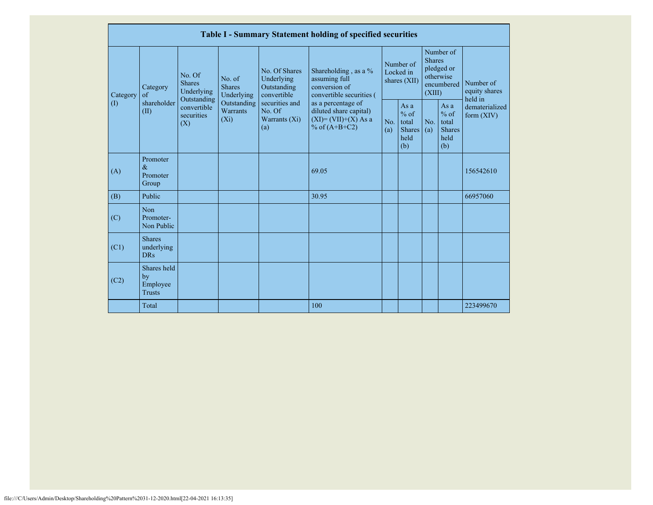|          | <b>Table I - Summary Statement holding of specified securities</b> |                                                      |                                       |                                                           |                                                                                                                                                   |       |                                        |                                                           |                                                    |                                                         |                                |
|----------|--------------------------------------------------------------------|------------------------------------------------------|---------------------------------------|-----------------------------------------------------------|---------------------------------------------------------------------------------------------------------------------------------------------------|-------|----------------------------------------|-----------------------------------------------------------|----------------------------------------------------|---------------------------------------------------------|--------------------------------|
| Category | Category<br>of                                                     | No. Of<br><b>Shares</b><br>Underlying<br>Outstanding | No. of<br><b>Shares</b><br>Underlying | No. Of Shares<br>Underlying<br>Outstanding<br>convertible | Shareholding, as a %<br>assuming full<br>conversion of<br>convertible securities (                                                                |       | Number of<br>Locked in<br>shares (XII) | <b>Shares</b><br>(XIII)                                   | Number of<br>pledged or<br>otherwise<br>encumbered | Number of<br>equity shares<br>held in                   |                                |
|          | $\left( \mathrm{I}\right)$                                         | shareholder<br>(II)                                  | convertible<br>securities<br>(X)      | Outstanding<br><b>Warrants</b><br>$(X_i)$                 | securities and<br>as a percentage of<br>No. Of<br>diluted share capital)<br>$(XI) = (VII)+(X) As a$<br>Warrants $(X_i)$<br>% of $(A+B+C2)$<br>(a) |       | No.<br>(a)                             | As $a$<br>$%$ of<br>total<br><b>Shares</b><br>held<br>(b) | No.<br>(a)                                         | As a<br>$%$ of<br>total<br><b>Shares</b><br>held<br>(b) | dematerialized<br>form $(XIV)$ |
|          | (A)                                                                | Promoter<br>$\&$<br>Promoter<br>Group                |                                       |                                                           |                                                                                                                                                   | 69.05 |                                        |                                                           |                                                    |                                                         | 156542610                      |
|          | (B)                                                                | Public                                               |                                       |                                                           |                                                                                                                                                   | 30.95 |                                        |                                                           |                                                    |                                                         | 66957060                       |
|          | (C)                                                                | Non<br>Promoter-<br>Non Public                       |                                       |                                                           |                                                                                                                                                   |       |                                        |                                                           |                                                    |                                                         |                                |
|          | (C1)                                                               | <b>Shares</b><br>underlying<br><b>DRs</b>            |                                       |                                                           |                                                                                                                                                   |       |                                        |                                                           |                                                    |                                                         |                                |
|          | (C2)                                                               | Shares held<br>by<br>Employee<br><b>Trusts</b>       |                                       |                                                           |                                                                                                                                                   |       |                                        |                                                           |                                                    |                                                         |                                |
|          |                                                                    | Total                                                |                                       |                                                           |                                                                                                                                                   | 100   |                                        |                                                           |                                                    |                                                         | 223499670                      |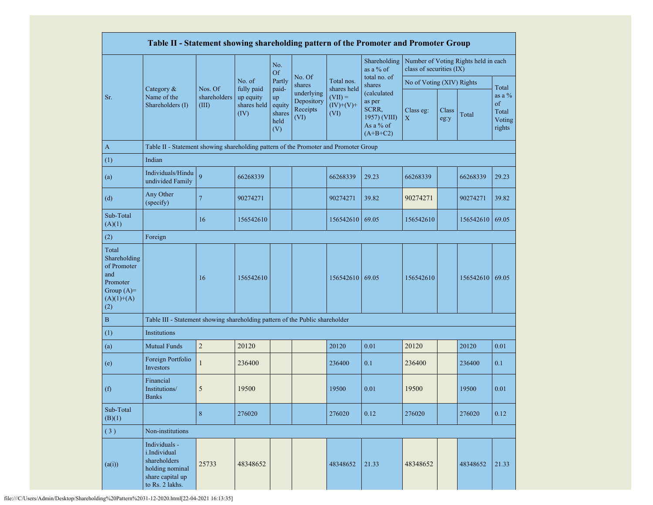|                                                                                                | Table II - Statement showing shareholding pattern of the Promoter and Promoter Group                    |                       |                                                |                                                |                                              |                                                 |                                                                           |                           |               |                                      |                                                       |
|------------------------------------------------------------------------------------------------|---------------------------------------------------------------------------------------------------------|-----------------------|------------------------------------------------|------------------------------------------------|----------------------------------------------|-------------------------------------------------|---------------------------------------------------------------------------|---------------------------|---------------|--------------------------------------|-------------------------------------------------------|
|                                                                                                |                                                                                                         |                       |                                                | No.<br><b>Of</b>                               |                                              |                                                 | Shareholding<br>as a % of                                                 | class of securities (IX)  |               | Number of Voting Rights held in each |                                                       |
|                                                                                                |                                                                                                         | Nos. Of               | No. of                                         | Partly                                         | No. Of<br>shares                             | Total nos.                                      | total no. of<br>shares                                                    | No of Voting (XIV) Rights |               |                                      |                                                       |
| Sr.                                                                                            | Category &<br>Name of the<br>Shareholders (I)                                                           | shareholders<br>(III) | fully paid<br>up equity<br>shares held<br>(IV) | paid-<br>up<br>equity<br>shares<br>held<br>(V) | underlying<br>Depository<br>Receipts<br>(VI) | shares held<br>$(VII) =$<br>$(IV)+(V)+$<br>(VI) | (calculated<br>as per<br>SCRR,<br>1957) (VIII)<br>As a % of<br>$(A+B+C2)$ | Class eg:<br>$\mathbf X$  | Class<br>eg:y | Total                                | Total<br>as a $\%$<br>of<br>Total<br>Voting<br>rights |
| $\mathbf{A}$                                                                                   | Table II - Statement showing shareholding pattern of the Promoter and Promoter Group                    |                       |                                                |                                                |                                              |                                                 |                                                                           |                           |               |                                      |                                                       |
| (1)                                                                                            | Indian                                                                                                  |                       |                                                |                                                |                                              |                                                 |                                                                           |                           |               |                                      |                                                       |
| (a)                                                                                            | Individuals/Hindu<br>undivided Family                                                                   | $\overline{Q}$        | 66268339                                       |                                                |                                              | 66268339                                        | 29.23                                                                     | 66268339                  |               | 66268339                             | 29.23                                                 |
| (d)                                                                                            | Any Other<br>(specify)                                                                                  | $\overline{7}$        | 90274271                                       |                                                |                                              | 90274271                                        | 39.82                                                                     | 90274271                  |               | 90274271                             | 39.82                                                 |
| Sub-Total<br>(A)(1)                                                                            |                                                                                                         | 16                    | 156542610                                      |                                                |                                              | 156542610                                       | 69.05                                                                     | 156542610                 |               | 156542610 69.05                      |                                                       |
| (2)                                                                                            | Foreign                                                                                                 |                       |                                                |                                                |                                              |                                                 |                                                                           |                           |               |                                      |                                                       |
| Total<br>Shareholding<br>of Promoter<br>and<br>Promoter<br>Group $(A)=$<br>$(A)(1)+(A)$<br>(2) |                                                                                                         | 16                    | 156542610                                      |                                                |                                              | 156542610                                       | 69.05                                                                     | 156542610                 |               | 156542610 69.05                      |                                                       |
| $\, {\bf B}$                                                                                   | Table III - Statement showing shareholding pattern of the Public shareholder                            |                       |                                                |                                                |                                              |                                                 |                                                                           |                           |               |                                      |                                                       |
| (1)                                                                                            | Institutions                                                                                            |                       |                                                |                                                |                                              |                                                 |                                                                           |                           |               |                                      |                                                       |
| (a)                                                                                            | <b>Mutual Funds</b>                                                                                     | $\sqrt{2}$            | 20120                                          |                                                |                                              | 20120                                           | 0.01                                                                      | 20120                     |               | 20120                                | 0.01                                                  |
| (e)                                                                                            | Foreign Portfolio<br>Investors                                                                          |                       | 236400                                         |                                                |                                              | 236400                                          | 0.1                                                                       | 236400                    |               | 236400                               | 0.1                                                   |
| (f)                                                                                            | Financial<br>Institutions/<br><b>Banks</b>                                                              | 5                     | 19500                                          |                                                |                                              | 19500                                           | 0.01                                                                      | 19500                     |               | 19500                                | 0.01                                                  |
| Sub-Total<br>(B)(1)                                                                            |                                                                                                         | $\,8\,$               | 276020                                         |                                                |                                              | 276020                                          | 0.12                                                                      | 276020                    |               | 276020                               | 0.12                                                  |
| (3)                                                                                            | Non-institutions                                                                                        |                       |                                                |                                                |                                              |                                                 |                                                                           |                           |               |                                      |                                                       |
| (a(i))                                                                                         | Individuals -<br>i.Individual<br>shareholders<br>holding nominal<br>share capital up<br>to Rs. 2 lakhs. | 25733                 | 48348652                                       |                                                |                                              | 48348652                                        | 21.33                                                                     | 48348652                  |               | 48348652                             | 21.33                                                 |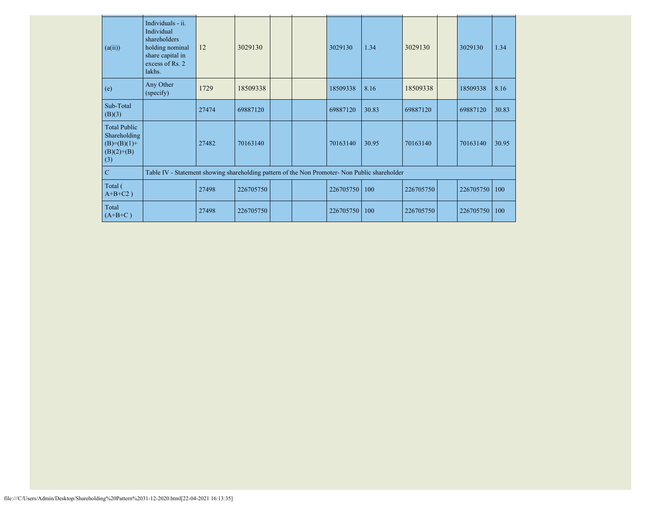| (a(ii))                                                                       | Individuals - ii.<br>Individual<br>shareholders<br>holding nominal<br>share capital in<br>excess of Rs. 2<br>lakhs. | 12    | 3029130   |  | 3029130   | 1.34  | 3029130   | 3029130   | 1.34  |
|-------------------------------------------------------------------------------|---------------------------------------------------------------------------------------------------------------------|-------|-----------|--|-----------|-------|-----------|-----------|-------|
| (e)                                                                           | Any Other<br>(specify)                                                                                              | 1729  | 18509338  |  | 18509338  | 8.16  | 18509338  | 18509338  | 8.16  |
| Sub-Total<br>(B)(3)                                                           |                                                                                                                     | 27474 | 69887120  |  | 69887120  | 30.83 | 69887120  | 69887120  | 30.83 |
| <b>Total Public</b><br>Shareholding<br>$(B)= (B)(1) +$<br>$(B)(2)+(B)$<br>(3) |                                                                                                                     | 27482 | 70163140  |  | 70163140  | 30.95 | 70163140  | 70163140  | 30.95 |
| $\mathbf C$                                                                   | Table IV - Statement showing shareholding pattern of the Non Promoter- Non Public shareholder                       |       |           |  |           |       |           |           |       |
| Total (<br>$A+B+C2$ )                                                         |                                                                                                                     | 27498 | 226705750 |  | 226705750 | 100   | 226705750 | 226705750 | 100   |
| Total<br>$(A+B+C)$                                                            |                                                                                                                     | 27498 | 226705750 |  | 226705750 | 100   | 226705750 | 226705750 | 100   |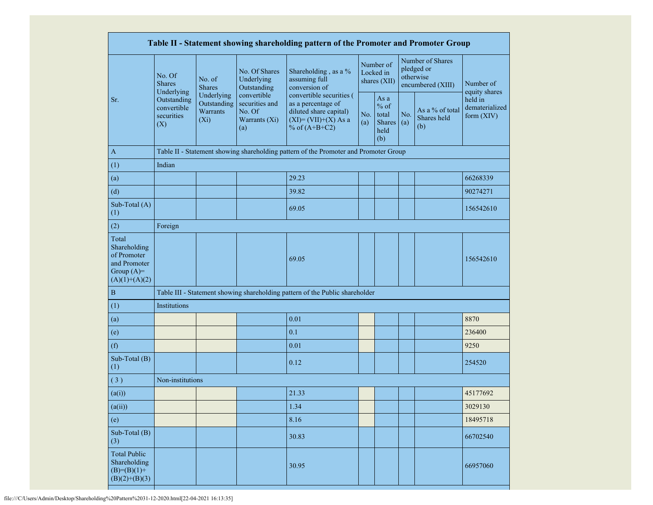|                                                                                         |                                                 |                                                  |                                                                                                      | Table II - Statement showing shareholding pattern of the Promoter and Promoter Group                                 |                                                                       |                                        |            |                                                                  |                                           |
|-----------------------------------------------------------------------------------------|-------------------------------------------------|--------------------------------------------------|------------------------------------------------------------------------------------------------------|----------------------------------------------------------------------------------------------------------------------|-----------------------------------------------------------------------|----------------------------------------|------------|------------------------------------------------------------------|-------------------------------------------|
|                                                                                         | No. Of<br><b>Shares</b><br>Underlying           | No. of<br><b>Shares</b>                          | No. Of Shares<br>Shareholding, as a %<br>Underlying<br>assuming full<br>Outstanding<br>conversion of |                                                                                                                      |                                                                       | Number of<br>Locked in<br>shares (XII) |            | Number of Shares<br>pledged or<br>otherwise<br>encumbered (XIII) | Number of<br>equity shares                |
| Sr.                                                                                     | Outstanding<br>convertible<br>securities<br>(X) | Underlying<br>Outstanding<br>Warrants<br>$(X_i)$ | convertible<br>securities and<br>No. Of<br>Warrants (Xi)<br>(a)                                      | convertible securities (<br>as a percentage of<br>diluted share capital)<br>$(XI)=(VII)+(X) As a$<br>% of $(A+B+C2)$ | As a<br>$%$ of<br>No.<br>total<br><b>Shares</b><br>(a)<br>held<br>(b) |                                        | No.<br>(a) | As a % of total<br>Shares held<br>(b)                            | held in<br>dematerialized<br>form $(XIV)$ |
| $\mathbf{A}$                                                                            |                                                 |                                                  |                                                                                                      | Table II - Statement showing shareholding pattern of the Promoter and Promoter Group                                 |                                                                       |                                        |            |                                                                  |                                           |
| (1)                                                                                     | Indian                                          |                                                  |                                                                                                      |                                                                                                                      |                                                                       |                                        |            |                                                                  |                                           |
| (a)                                                                                     |                                                 |                                                  |                                                                                                      | 29.23                                                                                                                |                                                                       |                                        |            |                                                                  | 66268339                                  |
| (d)                                                                                     |                                                 |                                                  |                                                                                                      | 39.82                                                                                                                |                                                                       |                                        |            |                                                                  | 90274271                                  |
| Sub-Total (A)<br>(1)                                                                    |                                                 |                                                  |                                                                                                      | 69.05                                                                                                                |                                                                       |                                        |            |                                                                  | 156542610                                 |
| (2)                                                                                     | Foreign                                         |                                                  |                                                                                                      |                                                                                                                      |                                                                       |                                        |            |                                                                  |                                           |
| Total<br>Shareholding<br>of Promoter<br>and Promoter<br>Group $(A)=$<br>$(A)(1)+(A)(2)$ |                                                 |                                                  |                                                                                                      | 69.05                                                                                                                |                                                                       |                                        |            |                                                                  | 156542610                                 |
| $\bf{B}$                                                                                |                                                 |                                                  |                                                                                                      | Table III - Statement showing shareholding pattern of the Public shareholder                                         |                                                                       |                                        |            |                                                                  |                                           |
| (1)                                                                                     | Institutions                                    |                                                  |                                                                                                      |                                                                                                                      |                                                                       |                                        |            |                                                                  |                                           |
| (a)                                                                                     |                                                 |                                                  |                                                                                                      | 0.01                                                                                                                 |                                                                       |                                        |            |                                                                  | 8870                                      |
| (e)                                                                                     |                                                 |                                                  |                                                                                                      | 0.1                                                                                                                  |                                                                       |                                        |            |                                                                  | 236400                                    |
| (f)                                                                                     |                                                 |                                                  |                                                                                                      | 0.01                                                                                                                 |                                                                       |                                        |            |                                                                  | 9250                                      |
| Sub-Total (B)<br>(1)                                                                    |                                                 |                                                  |                                                                                                      | 0.12                                                                                                                 |                                                                       |                                        |            |                                                                  | 254520                                    |
| (3)                                                                                     | Non-institutions                                |                                                  |                                                                                                      |                                                                                                                      |                                                                       |                                        |            |                                                                  |                                           |
| (a(i))                                                                                  |                                                 |                                                  |                                                                                                      | 21.33                                                                                                                |                                                                       |                                        |            |                                                                  | 45177692                                  |
| (a(ii))                                                                                 |                                                 |                                                  |                                                                                                      | 1.34                                                                                                                 |                                                                       |                                        |            |                                                                  | 3029130                                   |
| (e)                                                                                     |                                                 |                                                  |                                                                                                      | 8.16                                                                                                                 |                                                                       |                                        |            |                                                                  | 18495718                                  |
| Sub-Total (B)<br>(3)                                                                    |                                                 |                                                  |                                                                                                      | 30.83                                                                                                                |                                                                       |                                        |            |                                                                  | 66702540                                  |
| <b>Total Public</b><br>Shareholding<br>$(B)=(B)(1)+$<br>$(B)(2)+(B)(3)$                 |                                                 |                                                  |                                                                                                      | 30.95                                                                                                                |                                                                       |                                        |            |                                                                  | 66957060                                  |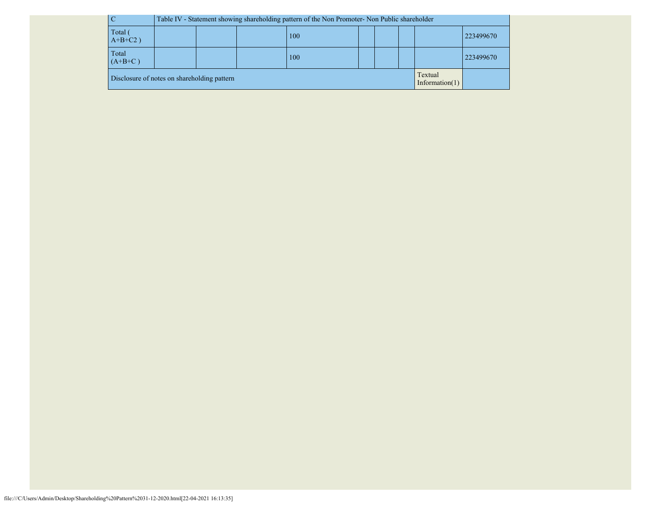|       |                                             |     | Table IV - Statement showing shareholding pattern of the Non Promoter- Non Public shareholder |  |  |  |  |  |                              |           |
|-------|---------------------------------------------|-----|-----------------------------------------------------------------------------------------------|--|--|--|--|--|------------------------------|-----------|
|       | Total (<br>$A+B+C2$ )                       | 100 |                                                                                               |  |  |  |  |  |                              | 223499670 |
| Total | $(A+B+C)$                                   | 100 |                                                                                               |  |  |  |  |  |                              | 223499670 |
|       | Disclosure of notes on shareholding pattern |     |                                                                                               |  |  |  |  |  | Textual<br>Information $(1)$ |           |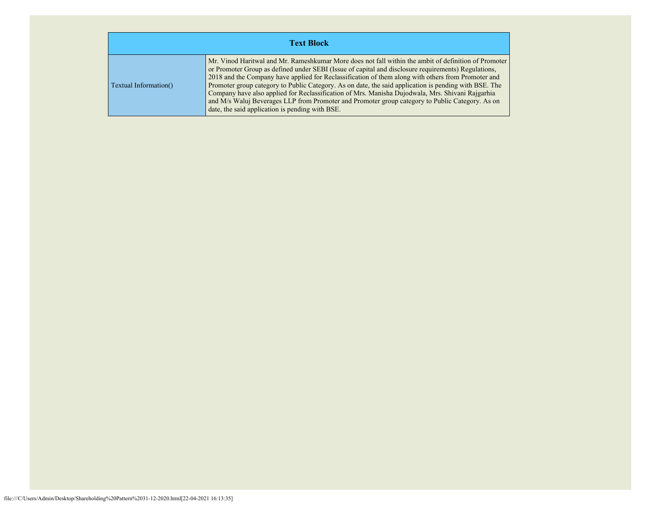| <b>Text Block</b>     |                                                                                                                                                                                                                                                                                                                                                                                                                                                                                                                                                                                                                                                                                      |  |  |  |  |  |  |  |
|-----------------------|--------------------------------------------------------------------------------------------------------------------------------------------------------------------------------------------------------------------------------------------------------------------------------------------------------------------------------------------------------------------------------------------------------------------------------------------------------------------------------------------------------------------------------------------------------------------------------------------------------------------------------------------------------------------------------------|--|--|--|--|--|--|--|
| Textual Information() | Mr. Vinod Haritwal and Mr. Rameshkumar More does not fall within the ambit of definition of Promoter<br>or Promoter Group as defined under SEBI (Issue of capital and disclosure requirements) Regulations,<br>2018 and the Company have applied for Reclassification of them along with others from Promoter and<br>Promoter group category to Public Category. As on date, the said application is pending with BSE. The<br>Company have also applied for Reclassification of Mrs. Manisha Dujodwala, Mrs. Shivani Rajgarhia<br>and M/s Waluj Beverages LLP from Promoter and Promoter group category to Public Category. As on<br>date, the said application is pending with BSE. |  |  |  |  |  |  |  |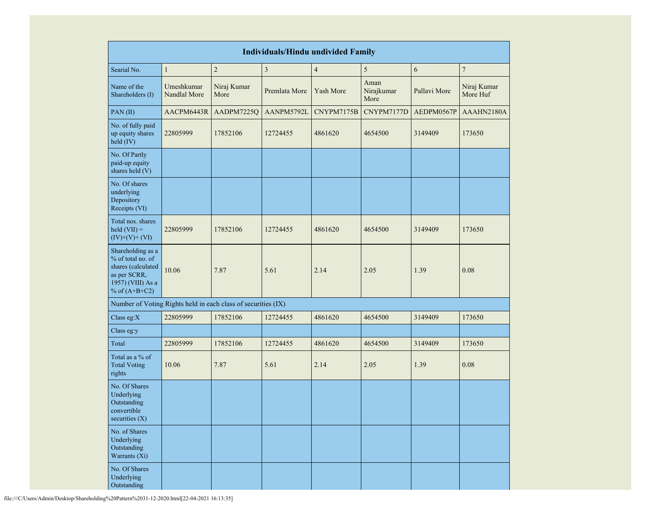|                                                                                                                      |                            |                     | <b>Individuals/Hindu undivided Family</b> |                |                            |              |                         |
|----------------------------------------------------------------------------------------------------------------------|----------------------------|---------------------|-------------------------------------------|----------------|----------------------------|--------------|-------------------------|
| Searial No.                                                                                                          | $\mathbf{1}$               | $\overline{c}$      | $\mathfrak z$                             | $\overline{4}$ | 5                          | 6            | $\overline{7}$          |
| Name of the<br>Shareholders (I)                                                                                      | Umeshkumar<br>Nandlal More | Niraj Kumar<br>More | Premlata More                             | Yash More      | Aman<br>Nirajkumar<br>More | Pallavi More | Niraj Kumar<br>More Huf |
| PAN(II)                                                                                                              | AACPM6443R                 | AADPM7225Q          | AANPM5792L                                | CNYPM7175B     | CNYPM7177D                 | AEDPM0567P   | AAAHN2180A              |
| No. of fully paid<br>up equity shares<br>held (IV)                                                                   | 22805999                   | 17852106            | 12724455                                  | 4861620        | 4654500                    | 3149409      | 173650                  |
| No. Of Partly<br>paid-up equity<br>shares held (V)                                                                   |                            |                     |                                           |                |                            |              |                         |
| No. Of shares<br>underlying<br>Depository<br>Receipts (VI)                                                           |                            |                     |                                           |                |                            |              |                         |
| Total nos. shares<br>$\text{held (VII)} =$<br>$(IV)+(V)+(VI)$                                                        | 22805999                   | 17852106            | 12724455                                  | 4861620        | 4654500                    | 3149409      | 173650                  |
| Shareholding as a<br>% of total no. of<br>shares (calculated<br>as per SCRR,<br>1957) (VIII) As a<br>% of $(A+B+C2)$ | 10.06                      | 7.87                | 5.61                                      | 2.14           | 2.05                       | 1.39         | 0.08                    |
| Number of Voting Rights held in each class of securities (IX)                                                        |                            |                     |                                           |                |                            |              |                         |
| Class eg: $X$                                                                                                        | 22805999                   | 17852106            | 12724455                                  | 4861620        | 4654500                    | 3149409      | 173650                  |
| Class eg:y                                                                                                           |                            |                     |                                           |                |                            |              |                         |
| Total                                                                                                                | 22805999                   | 17852106            | 12724455                                  | 4861620        | 4654500                    | 3149409      | 173650                  |
| Total as a % of<br><b>Total Voting</b><br>rights                                                                     | 10.06                      | 7.87                | 5.61                                      | 2.14           | 2.05                       | 1.39         | 0.08                    |
| No. Of Shares<br>Underlying<br>Outstanding<br>convertible<br>securities (X)                                          |                            |                     |                                           |                |                            |              |                         |
| No. of Shares<br>Underlying<br>Outstanding<br>Warrants (Xi)                                                          |                            |                     |                                           |                |                            |              |                         |
| No. Of Shares<br>Underlying<br>Outstanding                                                                           |                            |                     |                                           |                |                            |              |                         |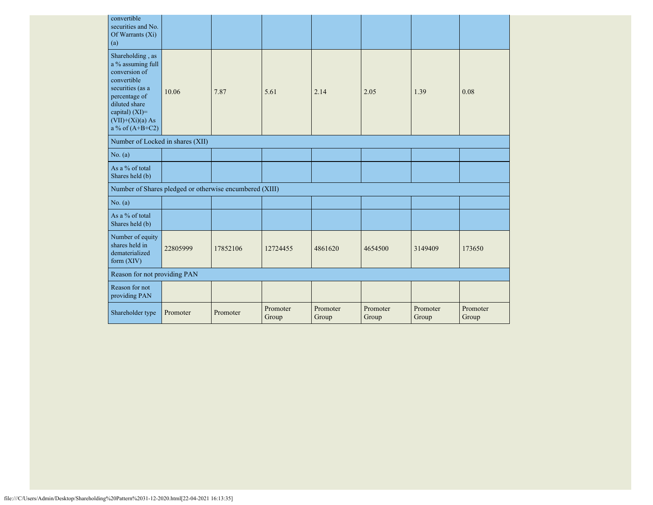| convertible<br>securities and No.<br>Of Warrants $(X_i)$<br>(a)                                                                                                                          |          |          |                   |                   |                   |                   |                   |
|------------------------------------------------------------------------------------------------------------------------------------------------------------------------------------------|----------|----------|-------------------|-------------------|-------------------|-------------------|-------------------|
| Shareholding, as<br>a % assuming full<br>conversion of<br>convertible<br>securities (as a<br>percentage of<br>diluted share<br>capital) (XI)=<br>$(VII)+(Xi)(a) As$<br>a % of $(A+B+C2)$ | 10.06    | 7.87     | 5.61              | 2.14              | 2.05              | 1.39              | 0.08              |
| Number of Locked in shares (XII)                                                                                                                                                         |          |          |                   |                   |                   |                   |                   |
| No. (a)                                                                                                                                                                                  |          |          |                   |                   |                   |                   |                   |
| As a % of total<br>Shares held (b)                                                                                                                                                       |          |          |                   |                   |                   |                   |                   |
| Number of Shares pledged or otherwise encumbered (XIII)                                                                                                                                  |          |          |                   |                   |                   |                   |                   |
| No. (a)                                                                                                                                                                                  |          |          |                   |                   |                   |                   |                   |
| As a % of total<br>Shares held (b)                                                                                                                                                       |          |          |                   |                   |                   |                   |                   |
| Number of equity<br>shares held in<br>dematerialized<br>form $(XIV)$                                                                                                                     | 22805999 | 17852106 | 12724455          | 4861620           | 4654500           | 3149409           | 173650            |
| Reason for not providing PAN                                                                                                                                                             |          |          |                   |                   |                   |                   |                   |
| Reason for not<br>providing PAN                                                                                                                                                          |          |          |                   |                   |                   |                   |                   |
| Shareholder type                                                                                                                                                                         | Promoter | Promoter | Promoter<br>Group | Promoter<br>Group | Promoter<br>Group | Promoter<br>Group | Promoter<br>Group |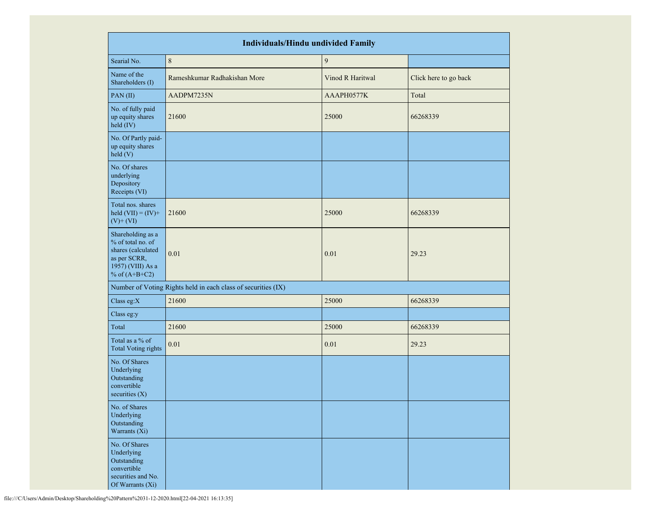|                                                                                                                      | <b>Individuals/Hindu undivided Family</b>                     |                  |                       |  |  |  |  |  |  |  |
|----------------------------------------------------------------------------------------------------------------------|---------------------------------------------------------------|------------------|-----------------------|--|--|--|--|--|--|--|
| Searial No.                                                                                                          | $\,8\,$                                                       | $\boldsymbol{9}$ |                       |  |  |  |  |  |  |  |
| Name of the<br>Shareholders (I)                                                                                      | Rameshkumar Radhakishan More                                  | Vinod R Haritwal | Click here to go back |  |  |  |  |  |  |  |
| PAN(II)                                                                                                              | AADPM7235N                                                    | AAAPH0577K       | Total                 |  |  |  |  |  |  |  |
| No. of fully paid<br>up equity shares<br>held (IV)                                                                   | 21600                                                         | 25000            | 66268339              |  |  |  |  |  |  |  |
| No. Of Partly paid-<br>up equity shares<br>held (V)                                                                  |                                                               |                  |                       |  |  |  |  |  |  |  |
| No. Of shares<br>underlying<br>Depository<br>Receipts (VI)                                                           |                                                               |                  |                       |  |  |  |  |  |  |  |
| Total nos. shares<br>held $(VII) = (IV) +$<br>$(V)$ + $(VI)$                                                         | 21600                                                         | 25000            | 66268339              |  |  |  |  |  |  |  |
| Shareholding as a<br>% of total no. of<br>shares (calculated<br>as per SCRR,<br>1957) (VIII) As a<br>% of $(A+B+C2)$ | 0.01                                                          | 0.01             | 29.23                 |  |  |  |  |  |  |  |
|                                                                                                                      | Number of Voting Rights held in each class of securities (IX) |                  |                       |  |  |  |  |  |  |  |
| Class eg:X                                                                                                           | 21600                                                         | 25000            | 66268339              |  |  |  |  |  |  |  |
| Class eg:y                                                                                                           |                                                               |                  |                       |  |  |  |  |  |  |  |
| Total                                                                                                                | 21600                                                         | 25000            | 66268339              |  |  |  |  |  |  |  |
| Total as a % of<br><b>Total Voting rights</b>                                                                        | 0.01                                                          | 0.01             | 29.23                 |  |  |  |  |  |  |  |
| No. Of Shares<br>Underlying<br>Outstanding<br>convertible<br>securities $(X)$                                        |                                                               |                  |                       |  |  |  |  |  |  |  |
| No. of Shares<br>Underlying<br>Outstanding<br>Warrants (Xi)                                                          |                                                               |                  |                       |  |  |  |  |  |  |  |
| No. Of Shares<br>Underlying<br>Outstanding<br>convertible<br>securities and No.<br>Of Warrants (Xi)                  |                                                               |                  |                       |  |  |  |  |  |  |  |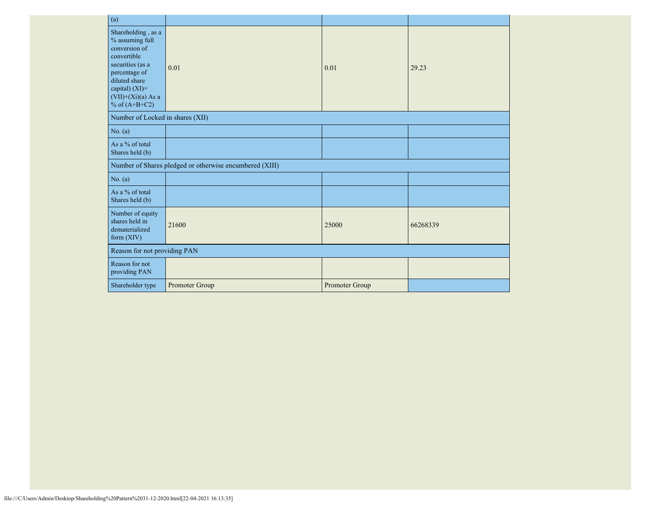| (a)                                                                                                                                                                                      |                                                         |                |          |  |  |
|------------------------------------------------------------------------------------------------------------------------------------------------------------------------------------------|---------------------------------------------------------|----------------|----------|--|--|
| Shareholding, as a<br>% assuming full<br>conversion of<br>convertible<br>securities (as a<br>percentage of<br>diluted share<br>capital) (XI)=<br>$(VII)+(Xi)(a)$ As a<br>% of $(A+B+C2)$ | 0.01                                                    | 0.01           | 29.23    |  |  |
| Number of Locked in shares (XII)                                                                                                                                                         |                                                         |                |          |  |  |
| No. (a)                                                                                                                                                                                  |                                                         |                |          |  |  |
| As a % of total<br>Shares held (b)                                                                                                                                                       |                                                         |                |          |  |  |
|                                                                                                                                                                                          | Number of Shares pledged or otherwise encumbered (XIII) |                |          |  |  |
| No. (a)                                                                                                                                                                                  |                                                         |                |          |  |  |
| As a % of total<br>Shares held (b)                                                                                                                                                       |                                                         |                |          |  |  |
| Number of equity<br>shares held in<br>dematerialized<br>form $(XIV)$                                                                                                                     | 21600                                                   | 25000          | 66268339 |  |  |
| Reason for not providing PAN                                                                                                                                                             |                                                         |                |          |  |  |
| Reason for not<br>providing PAN                                                                                                                                                          |                                                         |                |          |  |  |
| Shareholder type                                                                                                                                                                         | Promoter Group                                          | Promoter Group |          |  |  |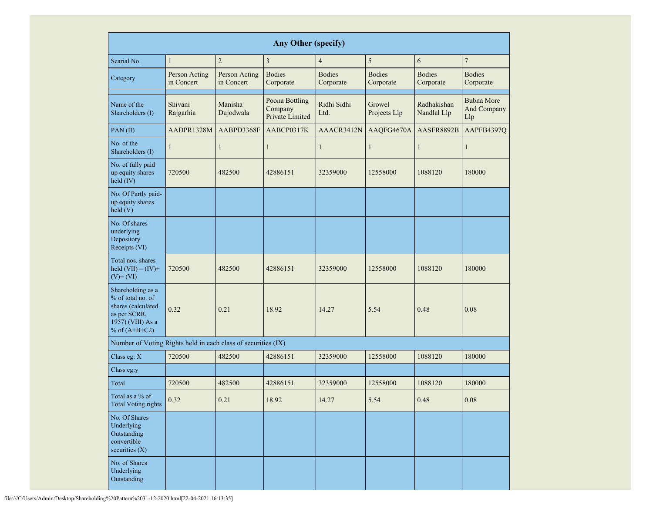|                                                                                                                      | <b>Any Other (specify)</b>                                 |                      |                                                          |                     |                                                          |                            |                                         |  |  |  |  |  |  |  |
|----------------------------------------------------------------------------------------------------------------------|------------------------------------------------------------|----------------------|----------------------------------------------------------|---------------------|----------------------------------------------------------|----------------------------|-----------------------------------------|--|--|--|--|--|--|--|
| Searial No.                                                                                                          | $\mathbf{1}$                                               | $\overline{c}$       | $\mathfrak{Z}$                                           | $\overline{4}$      | 5                                                        | 6                          | $\boldsymbol{7}$                        |  |  |  |  |  |  |  |
| Category                                                                                                             | Person Acting<br>Person Acting<br>in Concert<br>in Concert |                      | <b>Bodies</b><br><b>Bodies</b><br>Corporate<br>Corporate |                     | <b>Bodies</b><br><b>Bodies</b><br>Corporate<br>Corporate |                            | <b>Bodies</b><br>Corporate              |  |  |  |  |  |  |  |
| Name of the<br>Shareholders (I)                                                                                      | Shivani<br>Rajgarhia                                       | Manisha<br>Dujodwala | Poona Bottling<br>Company<br>Private Limited             | Ridhi Sidhi<br>Ltd. | Growel<br>Projects Llp                                   | Radhakishan<br>Nandlal Llp | <b>Bubna More</b><br>And Company<br>Llp |  |  |  |  |  |  |  |
| PAN(II)                                                                                                              | AADPR1328M                                                 | AABPD3368F           | AABCP0317K                                               | AAACR3412N          | AAQFG4670A                                               | AASFR8892B                 | AAPFB4397Q                              |  |  |  |  |  |  |  |
| No. of the<br>Shareholders (I)                                                                                       | $\mathbf{1}$                                               | $\mathbf{1}$         | $\mathbf{1}$                                             | $\mathbf{1}$        | $\mathbf{1}$                                             | 1                          | 1                                       |  |  |  |  |  |  |  |
| No. of fully paid<br>up equity shares<br>held (IV)                                                                   | 720500                                                     | 482500               | 42886151                                                 | 32359000            | 12558000                                                 | 1088120                    | 180000                                  |  |  |  |  |  |  |  |
| No. Of Partly paid-<br>up equity shares<br>held(V)                                                                   | 482500<br>720500<br>0.32<br>0.21                           |                      |                                                          |                     |                                                          |                            |                                         |  |  |  |  |  |  |  |
| No. Of shares<br>underlying<br>Depository<br>Receipts (VI)                                                           |                                                            |                      |                                                          |                     |                                                          |                            |                                         |  |  |  |  |  |  |  |
| Total nos. shares<br>held $(VII) = (IV) +$<br>$(V)$ + $(VI)$                                                         |                                                            |                      | 42886151                                                 | 32359000            | 12558000                                                 | 1088120                    | 180000                                  |  |  |  |  |  |  |  |
| Shareholding as a<br>% of total no. of<br>shares (calculated<br>as per SCRR,<br>1957) (VIII) As a<br>% of $(A+B+C2)$ |                                                            |                      | 18.92                                                    | 14.27               | 5.54                                                     | 0.48                       | 0.08                                    |  |  |  |  |  |  |  |
| Number of Voting Rights held in each class of securities (IX)                                                        |                                                            |                      |                                                          |                     |                                                          |                            |                                         |  |  |  |  |  |  |  |
| Class eg: X                                                                                                          | 720500                                                     | 482500               | 42886151                                                 | 32359000            | 12558000                                                 | 1088120                    | 180000                                  |  |  |  |  |  |  |  |
| Class eg:y                                                                                                           |                                                            |                      |                                                          |                     |                                                          |                            |                                         |  |  |  |  |  |  |  |
| Total                                                                                                                | 720500                                                     | 482500               | 42886151                                                 | 32359000            | 12558000                                                 | 1088120                    | 180000                                  |  |  |  |  |  |  |  |
| Total as a % of<br><b>Total Voting rights</b>                                                                        | 0.32                                                       | 0.21                 | 18.92                                                    | 14.27               | 5.54                                                     | 0.48                       | $0.08\,$                                |  |  |  |  |  |  |  |
| No. Of Shares<br>Underlying<br>Outstanding<br>convertible<br>securities $(X)$                                        |                                                            |                      |                                                          |                     |                                                          |                            |                                         |  |  |  |  |  |  |  |
| No. of Shares<br>Underlying<br>Outstanding                                                                           |                                                            |                      |                                                          |                     |                                                          |                            |                                         |  |  |  |  |  |  |  |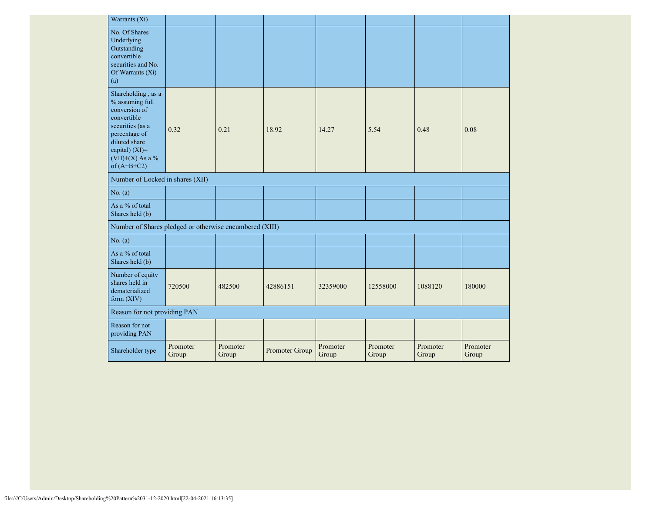| Warrants (Xi)                                                                                                                                                                      |                   |                   |                |                   |                   |                   |                   |
|------------------------------------------------------------------------------------------------------------------------------------------------------------------------------------|-------------------|-------------------|----------------|-------------------|-------------------|-------------------|-------------------|
| No. Of Shares<br>Underlying<br>Outstanding<br>convertible<br>securities and No.<br>Of Warrants (Xi)<br>(a)                                                                         |                   |                   |                |                   |                   |                   |                   |
| Shareholding, as a<br>% assuming full<br>conversion of<br>convertible<br>securities (as a<br>percentage of<br>diluted share<br>capital) (XI)=<br>(VII)+(X) As a %<br>of $(A+B+C2)$ | 0.32              | 0.21              | 18.92          | 14.27             | 5.54              | 0.48              | 0.08              |
| Number of Locked in shares (XII)                                                                                                                                                   |                   |                   |                |                   |                   |                   |                   |
| No. (a)                                                                                                                                                                            |                   |                   |                |                   |                   |                   |                   |
| As a % of total<br>Shares held (b)                                                                                                                                                 |                   |                   |                |                   |                   |                   |                   |
| Number of Shares pledged or otherwise encumbered (XIII)                                                                                                                            |                   |                   |                |                   |                   |                   |                   |
| No. $(a)$                                                                                                                                                                          |                   |                   |                |                   |                   |                   |                   |
| As a % of total<br>Shares held (b)                                                                                                                                                 |                   |                   |                |                   |                   |                   |                   |
| Number of equity<br>shares held in<br>dematerialized<br>form $(XIV)$                                                                                                               | 720500            | 482500            | 42886151       | 32359000          | 12558000          | 1088120           | 180000            |
| Reason for not providing PAN                                                                                                                                                       |                   |                   |                |                   |                   |                   |                   |
| Reason for not<br>providing PAN                                                                                                                                                    |                   |                   |                |                   |                   |                   |                   |
| Shareholder type                                                                                                                                                                   | Promoter<br>Group | Promoter<br>Group | Promoter Group | Promoter<br>Group | Promoter<br>Group | Promoter<br>Group | Promoter<br>Group |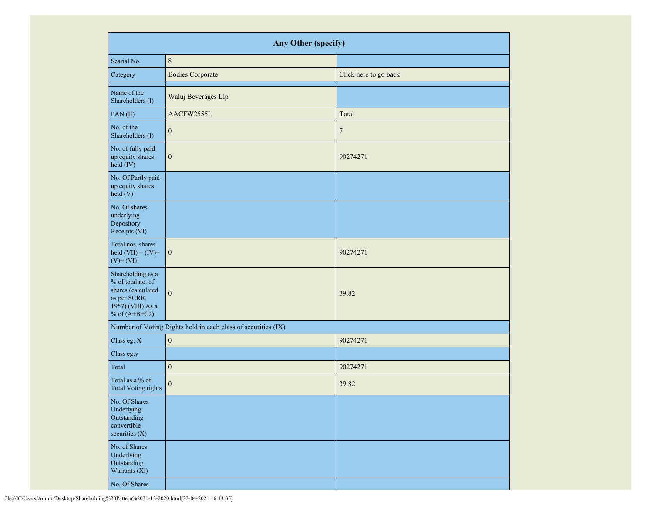|                                                                                                                      | Any Other (specify)                                           |                       |  |  |  |  |  |  |  |  |  |
|----------------------------------------------------------------------------------------------------------------------|---------------------------------------------------------------|-----------------------|--|--|--|--|--|--|--|--|--|
| Searial No.                                                                                                          | $\,8\,$                                                       |                       |  |  |  |  |  |  |  |  |  |
| Category                                                                                                             | <b>Bodies Corporate</b>                                       | Click here to go back |  |  |  |  |  |  |  |  |  |
| Name of the<br>Shareholders (I)                                                                                      | Waluj Beverages Llp                                           |                       |  |  |  |  |  |  |  |  |  |
| PAN(II)                                                                                                              | AACFW2555L                                                    | Total                 |  |  |  |  |  |  |  |  |  |
| No. of the<br>Shareholders (I)                                                                                       | $\mathbf{0}$                                                  | $\tau$                |  |  |  |  |  |  |  |  |  |
| No. of fully paid<br>up equity shares<br>held (IV)                                                                   | $\boldsymbol{0}$                                              | 90274271              |  |  |  |  |  |  |  |  |  |
| No. Of Partly paid-<br>up equity shares<br>held (V)                                                                  |                                                               |                       |  |  |  |  |  |  |  |  |  |
| No. Of shares<br>underlying<br>Depository<br>Receipts (VI)                                                           |                                                               |                       |  |  |  |  |  |  |  |  |  |
| Total nos. shares<br>held $(VII) = (IV) +$<br>$(V)$ + $(VI)$                                                         | $\boldsymbol{0}$                                              | 90274271              |  |  |  |  |  |  |  |  |  |
| Shareholding as a<br>% of total no. of<br>shares (calculated<br>as per SCRR,<br>1957) (VIII) As a<br>% of $(A+B+C2)$ | $\mathbf{0}$                                                  | 39.82                 |  |  |  |  |  |  |  |  |  |
|                                                                                                                      | Number of Voting Rights held in each class of securities (IX) |                       |  |  |  |  |  |  |  |  |  |
| Class eg: X                                                                                                          | $\boldsymbol{0}$                                              | 90274271              |  |  |  |  |  |  |  |  |  |
| Class eg:y                                                                                                           |                                                               |                       |  |  |  |  |  |  |  |  |  |
| Total                                                                                                                | $\boldsymbol{0}$                                              | 90274271              |  |  |  |  |  |  |  |  |  |
| Total as a % of<br><b>Total Voting rights</b>                                                                        | $\boldsymbol{0}$                                              | 39.82                 |  |  |  |  |  |  |  |  |  |
| No. Of Shares<br>Underlying<br>Outstanding<br>convertible<br>securities $(X)$                                        |                                                               |                       |  |  |  |  |  |  |  |  |  |
| No. of Shares<br>Underlying<br>Outstanding<br>Warrants (Xi)                                                          |                                                               |                       |  |  |  |  |  |  |  |  |  |
| No. Of Shares                                                                                                        |                                                               |                       |  |  |  |  |  |  |  |  |  |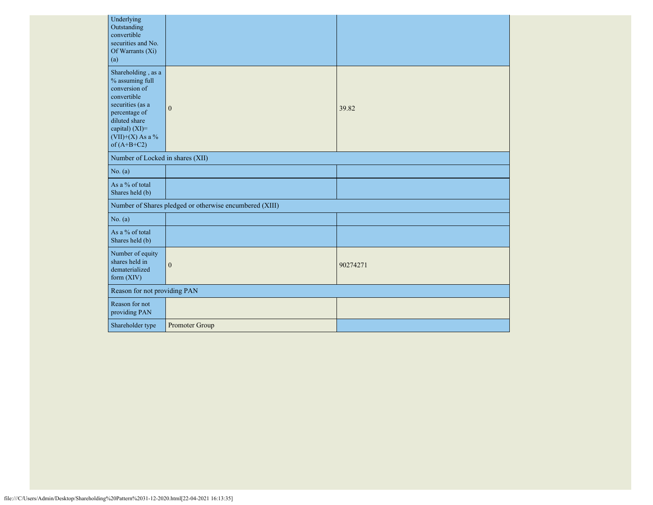| Underlying<br>Outstanding<br>convertible<br>securities and No.<br>Of Warrants (Xi)<br>(a)                                                                                            |                                                         |          |
|--------------------------------------------------------------------------------------------------------------------------------------------------------------------------------------|---------------------------------------------------------|----------|
| Shareholding, as a<br>% assuming full<br>conversion of<br>convertible<br>securities (as a<br>percentage of<br>diluted share<br>capital) (XI)=<br>$(VII)+(X)$ As a %<br>of $(A+B+C2)$ | $\mathbf{0}$                                            | 39.82    |
| Number of Locked in shares (XII)                                                                                                                                                     |                                                         |          |
| No. (a)                                                                                                                                                                              |                                                         |          |
| As a % of total<br>Shares held (b)                                                                                                                                                   |                                                         |          |
|                                                                                                                                                                                      | Number of Shares pledged or otherwise encumbered (XIII) |          |
| No. (a)                                                                                                                                                                              |                                                         |          |
| As a % of total<br>Shares held (b)                                                                                                                                                   |                                                         |          |
| Number of equity<br>shares held in<br>dematerialized<br>form (XIV)                                                                                                                   | $\boldsymbol{0}$                                        | 90274271 |
| Reason for not providing PAN                                                                                                                                                         |                                                         |          |
| Reason for not<br>providing PAN                                                                                                                                                      |                                                         |          |
| Shareholder type                                                                                                                                                                     | Promoter Group                                          |          |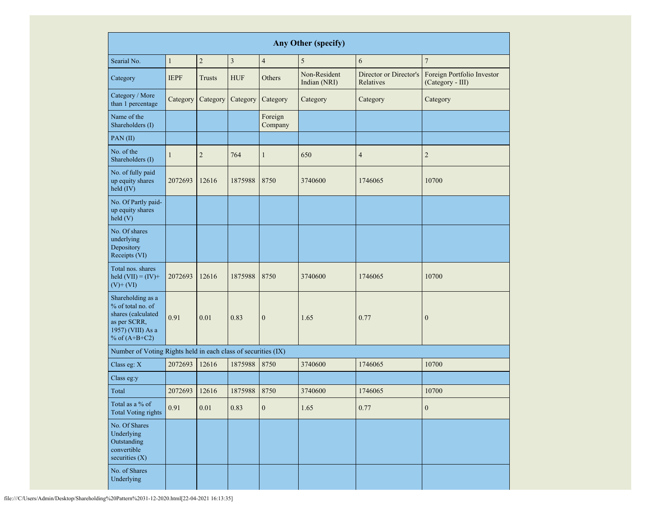|                                                                                                                      | Any Other (specify) |                |            |                    |                              |                                     |                                                |  |  |  |  |  |  |  |
|----------------------------------------------------------------------------------------------------------------------|---------------------|----------------|------------|--------------------|------------------------------|-------------------------------------|------------------------------------------------|--|--|--|--|--|--|--|
| Searial No.                                                                                                          | $\mathbf{1}$        | $\overline{2}$ | 3          | $\overline{4}$     | 5                            | 6                                   | $\overline{7}$                                 |  |  |  |  |  |  |  |
| Category                                                                                                             | <b>IEPF</b>         | <b>Trusts</b>  | <b>HUF</b> | Others             | Non-Resident<br>Indian (NRI) | Director or Director's<br>Relatives | Foreign Portfolio Investor<br>(Category - III) |  |  |  |  |  |  |  |
| Category / More<br>than 1 percentage                                                                                 | Category            | Category       | Category   | Category           | Category                     | Category                            | Category                                       |  |  |  |  |  |  |  |
| Name of the<br>Shareholders (I)                                                                                      |                     |                |            | Foreign<br>Company |                              |                                     |                                                |  |  |  |  |  |  |  |
| PAN(II)                                                                                                              |                     |                |            |                    |                              |                                     |                                                |  |  |  |  |  |  |  |
| No. of the<br>Shareholders (I)                                                                                       | 1                   | $\overline{2}$ | 764        | $\mathbf{1}$       | 650                          | $\overline{4}$                      | $\overline{2}$                                 |  |  |  |  |  |  |  |
| No. of fully paid<br>up equity shares<br>held (IV)                                                                   | 2072693             | 12616          | 1875988    | 8750               | 3740600                      | 1746065                             | 10700                                          |  |  |  |  |  |  |  |
| No. Of Partly paid-<br>up equity shares<br>held(V)                                                                   |                     |                |            |                    |                              |                                     |                                                |  |  |  |  |  |  |  |
| No. Of shares<br>underlying<br>Depository<br>Receipts (VI)                                                           |                     |                |            |                    |                              |                                     |                                                |  |  |  |  |  |  |  |
| Total nos. shares<br>held $(VII) = (IV) +$<br>$(V)$ + $(VI)$                                                         | 2072693             | 12616          | 1875988    | 8750               | 3740600                      | 1746065                             | 10700                                          |  |  |  |  |  |  |  |
| Shareholding as a<br>% of total no. of<br>shares (calculated<br>as per SCRR,<br>1957) (VIII) As a<br>% of $(A+B+C2)$ | 0.91                | 0.01           | 0.83       | $\boldsymbol{0}$   | 1.65                         | 0.77                                | $\overline{0}$                                 |  |  |  |  |  |  |  |
| Number of Voting Rights held in each class of securities (IX)                                                        |                     |                |            |                    |                              |                                     |                                                |  |  |  |  |  |  |  |
| Class eg: X                                                                                                          | 2072693             | 12616          | 1875988    | 8750               | 3740600                      | 1746065                             | 10700                                          |  |  |  |  |  |  |  |
| Class eg:y                                                                                                           |                     |                |            |                    |                              |                                     |                                                |  |  |  |  |  |  |  |
| Total                                                                                                                | 2072693             | 12616          | 1875988    | 8750               | 3740600                      | 1746065                             | 10700                                          |  |  |  |  |  |  |  |
| Total as a % of<br><b>Total Voting rights</b>                                                                        | 0.91                | $0.01\,$       | 0.83       | $\boldsymbol{0}$   | 1.65                         | 0.77                                | $\boldsymbol{0}$                               |  |  |  |  |  |  |  |
| No. Of Shares<br>Underlying<br>Outstanding<br>convertible<br>securities (X)                                          |                     |                |            |                    |                              |                                     |                                                |  |  |  |  |  |  |  |
| No. of Shares<br>Underlying                                                                                          |                     |                |            |                    |                              |                                     |                                                |  |  |  |  |  |  |  |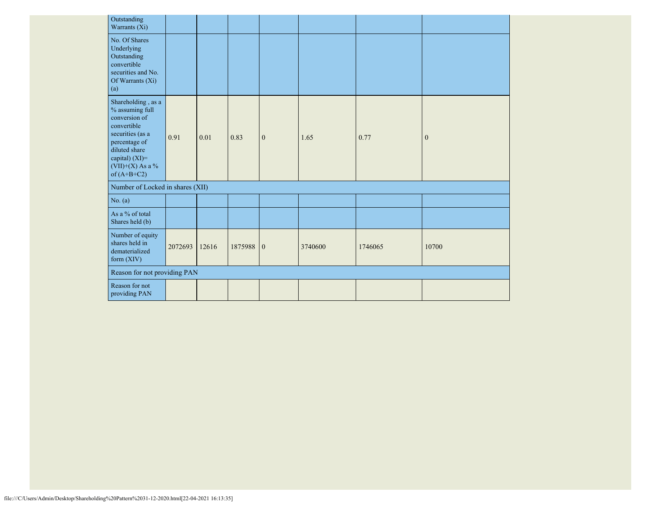| Outstanding<br>Warrants (Xi)                                                                                                                                                            |         |       |           |              |         |         |                |
|-----------------------------------------------------------------------------------------------------------------------------------------------------------------------------------------|---------|-------|-----------|--------------|---------|---------|----------------|
| No. Of Shares<br>Underlying<br>Outstanding<br>convertible<br>securities and No.<br>Of Warrants (Xi)<br>(a)                                                                              |         |       |           |              |         |         |                |
| Shareholding, as a<br>$\%$ assuming full<br>conversion of<br>convertible<br>securities (as a<br>percentage of<br>diluted share<br>capital) (XI)=<br>$(VII)+(X)$ As a %<br>of $(A+B+C2)$ | 0.91    | 0.01  | 0.83      | $\mathbf{0}$ | 1.65    | 0.77    | $\overline{0}$ |
| Number of Locked in shares (XII)                                                                                                                                                        |         |       |           |              |         |         |                |
| No. (a)                                                                                                                                                                                 |         |       |           |              |         |         |                |
| As a % of total<br>Shares held (b)                                                                                                                                                      |         |       |           |              |         |         |                |
| Number of equity<br>shares held in<br>dematerialized<br>form $(XIV)$                                                                                                                    | 2072693 | 12616 | 1875988 0 |              | 3740600 | 1746065 | 10700          |
| Reason for not providing PAN                                                                                                                                                            |         |       |           |              |         |         |                |
| Reason for not<br>providing PAN                                                                                                                                                         |         |       |           |              |         |         |                |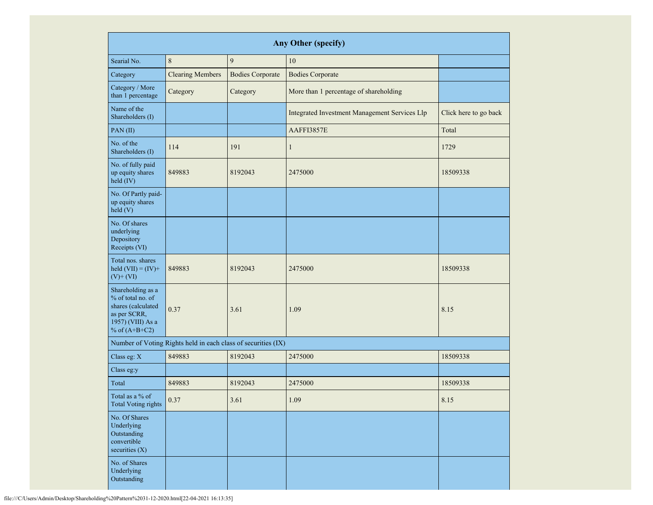| <b>Any Other (specify)</b>                                                                                                           |                                                               |                         |                                               |                       |  |  |  |  |  |  |  |  |
|--------------------------------------------------------------------------------------------------------------------------------------|---------------------------------------------------------------|-------------------------|-----------------------------------------------|-----------------------|--|--|--|--|--|--|--|--|
| Searial No.                                                                                                                          | $\,$ 8 $\,$                                                   | 9                       | 10                                            |                       |  |  |  |  |  |  |  |  |
| Category                                                                                                                             | <b>Clearing Members</b>                                       | <b>Bodies Corporate</b> | <b>Bodies Corporate</b>                       |                       |  |  |  |  |  |  |  |  |
| Category / More<br>than 1 percentage                                                                                                 | Category                                                      | Category                | More than 1 percentage of shareholding        |                       |  |  |  |  |  |  |  |  |
| Name of the<br>Shareholders (I)                                                                                                      |                                                               |                         | Integrated Investment Management Services Llp | Click here to go back |  |  |  |  |  |  |  |  |
| PAN $(II)$                                                                                                                           |                                                               |                         | AAFFI3857E                                    | Total                 |  |  |  |  |  |  |  |  |
| No. of the<br>Shareholders (I)                                                                                                       | 114                                                           | 191                     | $\mathbf{1}$                                  | 1729                  |  |  |  |  |  |  |  |  |
| No. of fully paid<br>up equity shares<br>held (IV)                                                                                   | 849883<br>8192043                                             |                         | 2475000                                       | 18509338              |  |  |  |  |  |  |  |  |
| No. Of Partly paid-<br>up equity shares<br>held(V)                                                                                   |                                                               |                         |                                               |                       |  |  |  |  |  |  |  |  |
| No. Of shares<br>underlying<br>Depository<br>Receipts (VI)                                                                           |                                                               |                         |                                               |                       |  |  |  |  |  |  |  |  |
| Total nos. shares<br>held $(VII) = (IV) +$<br>$(V)$ + $(VI)$                                                                         | 849883<br>8192043                                             |                         | 2475000                                       | 18509338              |  |  |  |  |  |  |  |  |
| Shareholding as a<br>% of total no. of<br>shares (calculated<br>0.37<br>3.61<br>as per SCRR,<br>1957) (VIII) As a<br>% of $(A+B+C2)$ |                                                               |                         | 1.09                                          | 8.15                  |  |  |  |  |  |  |  |  |
|                                                                                                                                      | Number of Voting Rights held in each class of securities (IX) |                         |                                               |                       |  |  |  |  |  |  |  |  |
| Class eg: X                                                                                                                          | 849883                                                        | 8192043                 | 2475000                                       | 18509338              |  |  |  |  |  |  |  |  |
| Class eg:y                                                                                                                           |                                                               |                         |                                               |                       |  |  |  |  |  |  |  |  |
| Total                                                                                                                                | 849883                                                        | 8192043                 | 2475000                                       | 18509338              |  |  |  |  |  |  |  |  |
| Total as a % of<br><b>Total Voting rights</b>                                                                                        | 0.37                                                          | 3.61                    | 1.09                                          | $8.15\,$              |  |  |  |  |  |  |  |  |
| No. Of Shares<br>Underlying<br>Outstanding<br>convertible<br>securities (X)                                                          |                                                               |                         |                                               |                       |  |  |  |  |  |  |  |  |
| No. of Shares<br>Underlying<br>Outstanding                                                                                           |                                                               |                         |                                               |                       |  |  |  |  |  |  |  |  |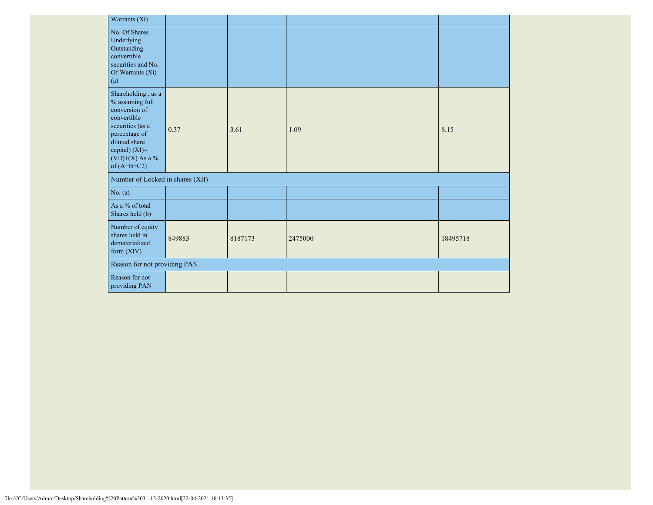|                              | Warrants (Xi)                                                                                                                                                                              |        |         |         |          |
|------------------------------|--------------------------------------------------------------------------------------------------------------------------------------------------------------------------------------------|--------|---------|---------|----------|
|                              | No. Of Shares<br>Underlying<br>Outstanding<br>convertible<br>securities and No.<br>Of Warrants (Xi)<br>(a)                                                                                 |        |         |         |          |
|                              | Shareholding, as a<br>$\%$ assuming full<br>conversion of<br>convertible<br>securities (as a<br>percentage of<br>diluted share<br>capital) $(XI)=$<br>(VII)+(X) As a $\%$<br>of $(A+B+C2)$ | 0.37   | 3.61    | 1.09    | 8.15     |
|                              | Number of Locked in shares (XII)                                                                                                                                                           |        |         |         |          |
|                              | No. (a)                                                                                                                                                                                    |        |         |         |          |
|                              | As a % of total<br>Shares held (b)                                                                                                                                                         |        |         |         |          |
|                              | Number of equity<br>shares held in<br>dematerialized<br>form (XIV)                                                                                                                         | 849883 | 8187173 | 2475000 | 18495718 |
| Reason for not providing PAN |                                                                                                                                                                                            |        |         |         |          |
|                              | Reason for not<br>providing PAN                                                                                                                                                            |        |         |         |          |